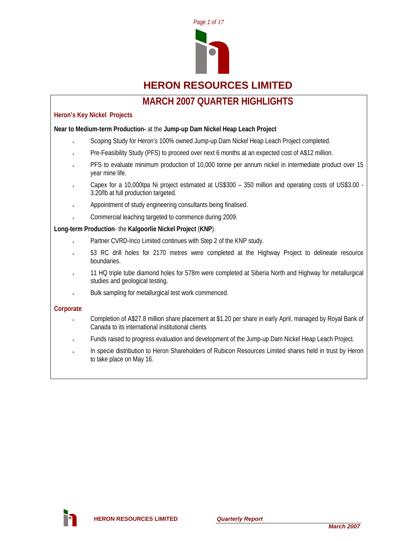

**HERON RESOURCES LIMITED** 

# **MARCH 2007 QUARTER HIGHLIGHTS**

## **Heron's Key Nickel Projects**

#### **Near to Medium-term Production-** at the **Jump-up Dam Nickel Heap Leach Project**

- Scoping Study for Heron's 100% owned Jump-up Dam Nickel Heap Leach Project completed.
- Pre-Feasibility Study (PFS) to proceed over next 6 months at an expected cost of A\$12 million.
- PFS to evaluate minimum production of 10,000 tonne per annum nickel in intermediate product over 15 year mine life.
- <sup>¾</sup> Capex for a 10,000tpa Ni project estimated at US\$300 350 million and operating costs of US\$3.00 3.20/lb at full production targeted.
- <sup>¾</sup> Appointment of study engineering consultants being finalised.
- Commercial leaching targeted to commence during 2009.

### **Long-term Production**- the **Kalgoorlie Nickel Project** (**KNP**).

- Partner CVRD-Inco Limited continues with Step 2 of the KNP study.
- 53 RC drill holes for 2170 metres were completed at the Highway Project to delineate resource boundaries.
- <sup>¾</sup> 11 HQ triple tube diamond holes for 578m were completed at Siberia North and Highway for metallurgical studies and geological testing.
- Bulk sampling for metallurgical test work commenced.

#### **Corporate**

- <sup>¾</sup> Completion of A\$27.8 million share placement at \$1.20 per share in early April, managed by Royal Bank of Canada to its international institutional clients
- Funds raised to progress evaluation and development of the Jump-up Dam Nickel Heap Leach Project.
- In specie distribution to Heron Shareholders of Rubicon Resources Limited shares held in trust by Heron to take place on May 16.

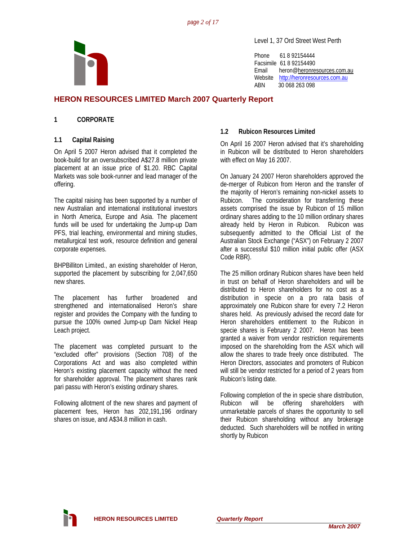

Level 1, 37 Ord Street West Perth

Phone 61 8 92154444 Facsimile 61 8 92154490 Email heron@heronresources.com.au Website http://heronresources.com.au ABN 30 068 263 098

# **HERON RESOURCES LIMITED March 2007 Quarterly Report**

#### **1 CORPORATE**

#### **1.1 Capital Raising**

On April 5 2007 Heron advised that it completed the book-build for an oversubscribed A\$27.8 million private placement at an issue price of \$1.20. RBC Capital Markets was sole book-runner and lead manager of the offering.

The capital raising has been supported by a number of new Australian and international institutional investors in North America, Europe and Asia. The placement funds will be used for undertaking the Jump-up Dam PFS, trial leaching, environmental and mining studies, metallurgical test work, resource definition and general corporate expenses.

BHPBilliton Limited., an existing shareholder of Heron, supported the placement by subscribing for 2,047,650 new shares.

The placement has further broadened and strengthened and internationalised Heron's share register and provides the Company with the funding to pursue the 100% owned Jump-up Dam Nickel Heap Leach project.

The placement was completed pursuant to the "excluded offer" provisions (Section 708) of the Corporations Act and was also completed within Heron's existing placement capacity without the need for shareholder approval. The placement shares rank pari passu with Heron's existing ordinary shares.

Following allotment of the new shares and payment of placement fees, Heron has 202,191,196 ordinary shares on issue, and A\$34.8 million in cash.

## **1.2 Rubicon Resources Limited**

On April 16 2007 Heron advised that it's shareholding in Rubicon will be distributed to Heron shareholders with effect on May 16 2007.

On January 24 2007 Heron shareholders approved the de-merger of Rubicon from Heron and the transfer of the majority of Heron's remaining non-nickel assets to Rubicon. The consideration for transferring these assets comprised the issue by Rubicon of 15 million ordinary shares adding to the 10 million ordinary shares already held by Heron in Rubicon. Rubicon was subsequently admitted to the Official List of the Australian Stock Exchange ("ASX") on February 2 2007 after a successful \$10 million initial public offer (ASX Code RBR).

The 25 million ordinary Rubicon shares have been held in trust on behalf of Heron shareholders and will be distributed to Heron shareholders for no cost as a distribution in specie on a pro rata basis of approximately one Rubicon share for every 7.2 Heron shares held. As previously advised the record date for Heron shareholders entitlement to the Rubicon in specie shares is February 2 2007. Heron has been granted a waiver from vendor restriction requirements imposed on the shareholding from the ASX which will allow the shares to trade freely once distributed. The Heron Directors, associates and promoters of Rubicon will still be vendor restricted for a period of 2 years from Rubicon's listing date.

Following completion of the in specie share distribution, Rubicon will be offering shareholders with unmarketable parcels of shares the opportunity to sell their Rubicon shareholding without any brokerage deducted. Such shareholders will be notified in writing shortly by Rubicon

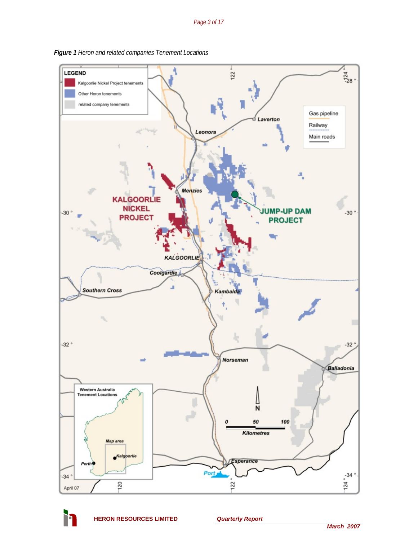

*Figure 1 Heron and related companies Tenement Locations*

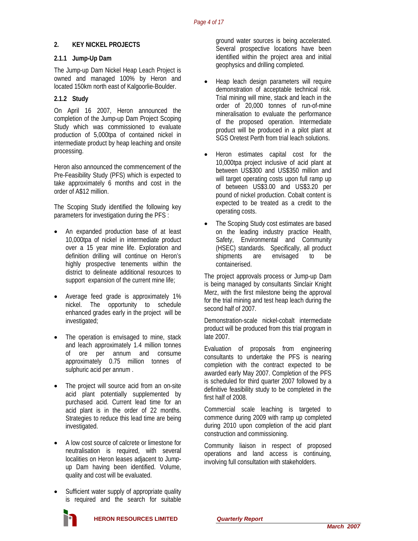#### **2. KEY NICKEL PROJECTS**

#### **2.1.1 Jump-Up Dam**

The Jump-up Dam Nickel Heap Leach Project is owned and managed 100% by Heron and located 150km north east of Kalgoorlie-Boulder.

#### **2.1.2 Study**

On April 16 2007, Heron announced the completion of the Jump-up Dam Project Scoping Study which was commissioned to evaluate production of 5,000tpa of contained nickel in intermediate product by heap leaching and onsite processing.

Heron also announced the commencement of the Pre-Feasibility Study (PFS) which is expected to take approximately 6 months and cost in the order of A\$12 million.

The Scoping Study identified the following key parameters for investigation during the PFS :

- An expanded production base of at least 10,000tpa of nickel in intermediate product over a 15 year mine life. Exploration and definition drilling will continue on Heron's highly prospective tenements within the district to delineate additional resources to support expansion of the current mine life;
- Average feed grade is approximately 1% nickel. The opportunity to schedule enhanced grades early in the project will be investigated;
- The operation is envisaged to mine, stack and leach approximately 1.4 million tonnes of ore per annum and consume approximately 0.75 million tonnes of sulphuric acid per annum .
- The project will source acid from an on-site acid plant potentially supplemented by purchased acid. Current lead time for an acid plant is in the order of 22 months. Strategies to reduce this lead time are being investigated.
- A low cost source of calcrete or limestone for neutralisation is required, with several localities on Heron leases adjacent to Jumpup Dam having been identified. Volume, quality and cost will be evaluated.
- Sufficient water supply of appropriate quality is required and the search for suitable

ground water sources is being accelerated. Several prospective locations have been identified within the project area and initial geophysics and drilling completed.

- Heap leach design parameters will require demonstration of acceptable technical risk. Trial mining will mine, stack and leach in the order of 20,000 tonnes of run-of-mine mineralisation to evaluate the performance of the proposed operation. Intermediate product will be produced in a pilot plant at SGS Oretest Perth from trial leach solutions.
- Heron estimates capital cost for the 10,000tpa project inclusive of acid plant at between US\$300 and US\$350 million and will target operating costs upon full ramp up of between US\$3.00 and US\$3.20 per pound of nickel production. Cobalt content is expected to be treated as a credit to the operating costs.
- The Scoping Study cost estimates are based on the leading industry practice Health, Safety, Environmental and Community (HSEC) standards. Specifically, all product shipments are envisaged to be containerised.

The project approvals process or Jump-up Dam is being managed by consultants Sinclair Knight Merz, with the first milestone being the approval for the trial mining and test heap leach during the second half of 2007.

Demonstration-scale nickel-cobalt intermediate product will be produced from this trial program in late 2007.

Evaluation of proposals from engineering consultants to undertake the PFS is nearing completion with the contract expected to be awarded early May 2007. Completion of the PFS is scheduled for third quarter 2007 followed by a definitive feasibility study to be completed in the first half of 2008.

Commercial scale leaching is targeted to commence during 2009 with ramp up completed during 2010 upon completion of the acid plant construction and commissioning.

Community liaison in respect of proposed operations and land access is continuing, involving full consultation with stakeholders.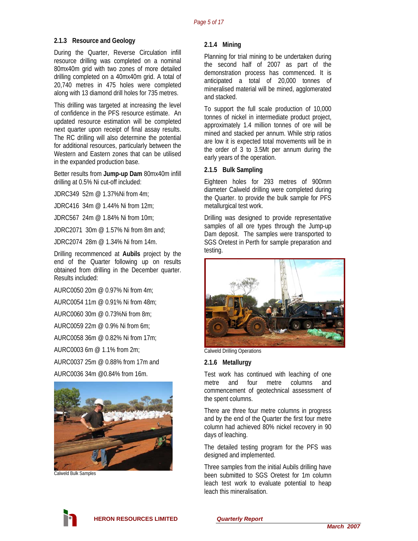#### **2.1.3 Resource and Geology**

During the Quarter, Reverse Circulation infill resource drilling was completed on a nominal 80mx40m grid with two zones of more detailed drilling completed on a 40mx40m grid. A total of 20,740 metres in 475 holes were completed along with 13 diamond drill holes for 735 metres.

This drilling was targeted at increasing the level of confidence in the PFS resource estimate. An updated resource estimation will be completed next quarter upon receipt of final assay results. The RC drilling will also determine the potential for additional resources, particularly between the Western and Eastern zones that can be utilised in the expanded production base.

Better results from **Jump-up Dam** 80mx40m infill drilling at 0.5% Ni cut-off included:

JDRC349 52m @ 1.37%Ni from 4m;

JDRC416 34m @ 1.44% Ni from 12m;

JDRC567 24m @ 1.84% Ni from 10m;

JDRC2071 30m @ 1.57% Ni from 8m and;

JDRC2074 28m @ 1.34% Ni from 14m.

Drilling recommenced at **Aubils** project by the end of the Quarter following up on results obtained from drilling in the December quarter. Results included:

AURC0050 20m @ 0.97% Ni from 4m;

AURC0054 11m @ 0.91% Ni from 48m;

AURC0060 30m @ 0.73%Ni from 8m;

AURC0059 22m @ 0.9% Ni from 6m;

AURC0058 36m @ 0.82% Ni from 17m;

AURC0003 6m @ 1.1% from 2m;

AURC0037 25m @ 0.88% from 17m and

AURC0036 34m @0.84% from 16m.



Calweld Bulk Samples

#### **2.1.4 Mining**

Planning for trial mining to be undertaken during the second half of 2007 as part of the demonstration process has commenced. It is anticipated a total of 20,000 tonnes of mineralised material will be mined, agglomerated and stacked.

To support the full scale production of 10,000 tonnes of nickel in intermediate product project, approximately 1.4 million tonnes of ore will be mined and stacked per annum. While strip ratios are low it is expected total movements will be in the order of 3 to 3.5Mt per annum during the early years of the operation.

#### **2.1.5 Bulk Sampling**

Eighteen holes for 293 metres of 900mm diameter Calweld drilling were completed during the Quarter. to provide the bulk sample for PFS metallurgical test work.

Drilling was designed to provide representative samples of all ore types through the Jump-up Dam deposit. The samples were transported to SGS Oretest in Perth for sample preparation and testing.



Calweld Drilling Operations

#### **2.1.6 Metallurgy**

Test work has continued with leaching of one metre and four metre columns and commencement of geotechnical assessment of the spent columns.

There are three four metre columns in progress and by the end of the Quarter the first four metre column had achieved 80% nickel recovery in 90 days of leaching.

The detailed testing program for the PFS was designed and implemented.

Three samples from the initial Aubils drilling have been submitted to SGS Oretest for 1m column leach test work to evaluate potential to heap leach this mineralisation.

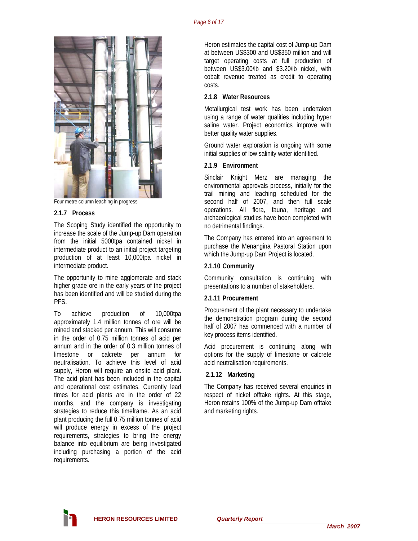

Four metre column leaching in progress

#### **2.1.7 Process**

The Scoping Study identified the opportunity to increase the scale of the Jump-up Dam operation from the initial 5000tpa contained nickel in intermediate product to an initial project targeting production of at least 10,000tpa nickel in intermediate product.

The opportunity to mine agglomerate and stack higher grade ore in the early years of the project has been identified and will be studied during the PFS.

To achieve production of 10,000tpa approximately 1.4 million tonnes of ore will be mined and stacked per annum. This will consume in the order of 0.75 million tonnes of acid per annum and in the order of 0.3 million tonnes of limestone or calcrete per annum for neutralisation. To achieve this level of acid supply, Heron will require an onsite acid plant. The acid plant has been included in the capital and operational cost estimates. Currently lead times for acid plants are in the order of 22 months, and the company is investigating strategies to reduce this timeframe. As an acid plant producing the full 0.75 million tonnes of acid will produce energy in excess of the project requirements, strategies to bring the energy balance into equilibrium are being investigated including purchasing a portion of the acid requirements.

Heron estimates the capital cost of Jump-up Dam at between US\$300 and US\$350 million and will target operating costs at full production of between US\$3.00/lb and \$3.20/lb nickel, with cobalt revenue treated as credit to operating costs.

#### **2.1.8 Water Resources**

Metallurgical test work has been undertaken using a range of water qualities including hyper saline water. Project economics improve with better quality water supplies.

Ground water exploration is ongoing with some initial supplies of low salinity water identified.

#### **2.1.9 Environment**

Sinclair Knight Merz are managing the environmental approvals process, initially for the trail mining and leaching scheduled for the second half of 2007, and then full scale operations. All flora, fauna, heritage and archaeological studies have been completed with no detrimental findings.

The Company has entered into an agreement to purchase the Menangina Pastoral Station upon which the Jump-up Dam Project is located.

#### **2.1.10 Community**

Community consultation is continuing with presentations to a number of stakeholders.

#### **2.1.11 Procurement**

Procurement of the plant necessary to undertake the demonstration program during the second half of 2007 has commenced with a number of key process items identified.

Acid procurement is continuing along with options for the supply of limestone or calcrete acid neutralisation requirements.

#### **2.1.12 Marketing**

The Company has received several enquiries in respect of nickel offtake rights. At this stage, Heron retains 100% of the Jump-up Dam offtake and marketing rights.

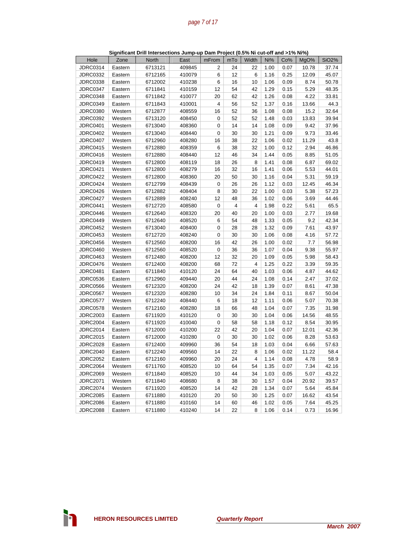# *page 7 of 17*

|                 |         | Significant Drill Intersections Jump-up Dam Project (0.5% Ni cut-off and >1% Ni%) |        |                |                |       |      |      |       |                    |
|-----------------|---------|-----------------------------------------------------------------------------------|--------|----------------|----------------|-------|------|------|-------|--------------------|
| Hole            | Zone    | <b>North</b>                                                                      | East   | mFrom          | mTo            | Width | Ni%  | Co%  | MgO%  | SiO <sub>2</sub> % |
| <b>JDRC0314</b> | Eastern | 6713121                                                                           | 409845 | $\overline{2}$ | 24             | 22    | 1.00 | 0.07 | 10.78 | 37.74              |
| <b>JDRC0332</b> | Eastern | 6712165                                                                           | 410079 | 6              | 12             | 6     | 1.16 | 0.25 | 12.09 | 45.07              |
| <b>JDRC0338</b> | Eastern | 6712002                                                                           | 410238 | 6              | 16             | 10    | 1.06 | 0.09 | 8.74  | 50.78              |
| JDRC0347        | Eastern | 6711841                                                                           | 410159 | 12             | 54             | 42    | 1.29 | 0.15 | 5.29  | 48.35              |
| <b>JDRC0348</b> | Eastern | 6711842                                                                           | 410077 | 20             | 62             | 42    | 1.26 | 0.08 | 4.22  | 33.81              |
| JDRC0349        | Eastern | 6711843                                                                           | 410001 | 4              | 56             | 52    | 1.37 | 0.16 | 13.66 | 44.3               |
| <b>JDRC0380</b> | Western | 6712877                                                                           | 408559 | 16             | 52             | 36    | 1.08 | 0.08 | 15.2  | 32.64              |
| <b>JDRC0392</b> | Western | 6713120                                                                           | 408450 | 0              | 52             | 52    | 1.48 | 0.03 | 13.83 | 39.94              |
| <b>JDRC0401</b> | Western | 6713040                                                                           | 408360 | 0              | 14             | 14    | 1.08 | 0.09 | 9.42  | 37.96              |
| <b>JDRC0402</b> | Western | 6713040                                                                           | 408440 | 0              | 30             | 30    | 1.21 | 0.09 | 9.73  | 33.46              |
| <b>JDRC0407</b> | Western | 6712960                                                                           | 408280 | 16             | 38             | 22    | 1.06 | 0.02 | 11.29 | 43.8               |
| <b>JDRC0415</b> | Western | 6712880                                                                           | 408359 | 6              | 38             | 32    | 1.00 | 0.12 | 2.94  | 46.86              |
| JDRC0416        | Western | 6712880                                                                           | 408440 | 12             | 46             | 34    | 1.44 | 0.05 | 8.85  | 51.05              |
| <b>JDRC0419</b> | Western | 6712800                                                                           | 408119 | 18             | 26             | 8     | 1.41 | 0.08 | 6.87  | 69.02              |
| <b>JDRC0421</b> | Western | 6712800                                                                           | 408279 | 16             | 32             | 16    | 1.41 | 0.06 | 5.53  | 44.01              |
| <b>JDRC0422</b> | Western | 6712800                                                                           | 408360 | 20             | 50             | 30    | 1.16 | 0.04 | 5.31  | 59.19              |
| JDRC0424        | Western | 6712799                                                                           | 408439 | 0              | 26             | 26    | 1.12 | 0.03 | 12.45 | 46.34              |
| <b>JDRC0426</b> | Western | 6712882                                                                           | 408404 | 8              | 30             | 22    | 1.00 | 0.03 | 5.38  | 57.23              |
| <b>JDRC0427</b> | Western | 6712889                                                                           | 408240 | 12             | 48             | 36    | 1.02 | 0.06 | 3.69  | 44.46              |
| <b>JDRC0441</b> | Western | 6712720                                                                           | 408580 | 0              | $\overline{4}$ | 4     | 1.98 | 0.22 | 5.61  | 65.5               |
| JDRC0446        | Western | 6712640                                                                           | 408320 | 20             | 40             | 20    | 1.00 | 0.03 | 2.77  | 19.68              |
| JDRC0449        | Western | 6712640                                                                           | 408520 | 6              | 54             | 48    | 1.33 | 0.05 | 9.2   | 42.34              |
| <b>JDRC0452</b> | Western | 6713040                                                                           | 408400 | 0              | 28             | 28    | 1.32 | 0.09 | 7.61  | 43.97              |
| <b>JDRC0453</b> | Western | 6712720                                                                           | 408240 | 0              | 30             | 30    | 1.06 | 0.08 | 4.16  | 57.72              |
| JDRC0456        | Western | 6712560                                                                           | 408200 | 16             | 42             | 26    | 1.00 | 0.02 | 7.7   | 56.98              |
| JDRC0460        | Western | 6712560                                                                           | 408520 | 0              | 36             | 36    | 1.07 | 0.04 | 9.38  | 55.97              |
| <b>JDRC0463</b> | Western | 6712480                                                                           | 408200 | 12             | 32             | 20    | 1.09 | 0.05 | 5.98  | 58.43              |
| <b>JDRC0476</b> | Western | 6712400                                                                           | 408200 | 68             | 72             | 4     | 1.25 | 0.22 | 3.39  | 59.35              |
| <b>JDRC0481</b> | Eastern | 6711840                                                                           | 410120 | 24             | 64             | 40    | 1.03 | 0.06 | 4.87  | 44.62              |
| <b>JDRC0536</b> | Eastern | 6712960                                                                           | 409440 | 20             | 44             | 24    | 1.08 | 0.14 | 2.47  | 37.02              |
| <b>JDRC0566</b> | Western | 6712320                                                                           | 408200 | 24             | 42             | 18    | 1.39 | 0.07 | 8.61  | 47.38              |
| <b>JDRC0567</b> | Western | 6712320                                                                           | 408280 | 10             | 34             | 24    | 1.84 | 0.11 | 8.67  | 50.04              |
| <b>JDRC0577</b> | Western | 6712240                                                                           | 408440 | 6              | 18             | 12    | 1.11 | 0.06 | 5.07  | 70.38              |
| <b>JDRC0578</b> | Western | 6712160                                                                           | 408280 | 18             | 66             | 48    | 1.04 | 0.07 | 7.35  | 31.98              |
| <b>JDRC2003</b> | Eastern | 6711920                                                                           | 410120 | 0              | 30             | 30    | 1.04 | 0.06 | 14.56 | 48.55              |
| <b>JDRC2004</b> | Eastern | 6711920                                                                           | 410040 | 0              | 58             | 58    | 1.18 | 0.12 | 8.54  | 30.95              |
| <b>JDRC2014</b> | Eastern | 6712000                                                                           | 410200 | 22             | 42             | 20    | 1.04 | 0.07 | 12.01 | 42.36              |
| <b>JDRC2015</b> | Eastern | 6712000                                                                           | 410280 | 0              | 30             | 30    | 1.02 | 0.06 | 8.28  | 53.63              |
| <b>JDRC2028</b> | Eastern | 6712400                                                                           | 409960 | 36             | 54             | 18    | 1.03 | 0.04 | 6.66  | 57.63              |
| <b>JDRC2040</b> | Eastern | 6712240                                                                           | 409560 | 14             | 22             | 8     | 1.06 | 0.02 | 11.22 | 58.4               |
| <b>JDRC2052</b> | Eastern | 6712160                                                                           | 409960 | 20             | 24             | 4     | 1.14 | 0.08 | 4.78  | 58.9               |
| JDRC2064        | Western | 6711760                                                                           | 408520 | 10             | 64             | 54    | 1.35 | 0.07 | 7.34  | 42.16              |
| <b>JDRC2069</b> | Western | 6711840                                                                           | 408520 | 10             | 44             | 34    | 1.03 | 0.05 | 5.07  | 43.22              |
| <b>JDRC2071</b> | Western | 6711840                                                                           | 408680 | 8              | 38             | 30    | 1.57 | 0.04 | 20.92 | 39.57              |
| <b>JDRC2074</b> | Western | 6711920                                                                           | 408520 | 14             | 42             | 28    | 1.34 | 0.07 | 5.64  | 45.84              |
| <b>JDRC2085</b> | Eastern | 6711880                                                                           | 410120 | 20             | 50             | 30    | 1.25 | 0.07 | 16.62 | 43.54              |
| <b>JDRC2086</b> | Eastern | 6711880                                                                           | 410160 | 14             | 60             | 46    | 1.02 | 0.05 | 7.64  | 45.25              |
| <b>JDRC2088</b> | Eastern | 6711880                                                                           | 410240 | 14             | 22             | 8     | 1.06 | 0.14 | 0.73  | 16.96              |
|                 |         |                                                                                   |        |                |                |       |      |      |       |                    |

**Significant Drill Intersections Jump-up Dam Project (0.5% Ni cut-off and >1% Ni%)** 

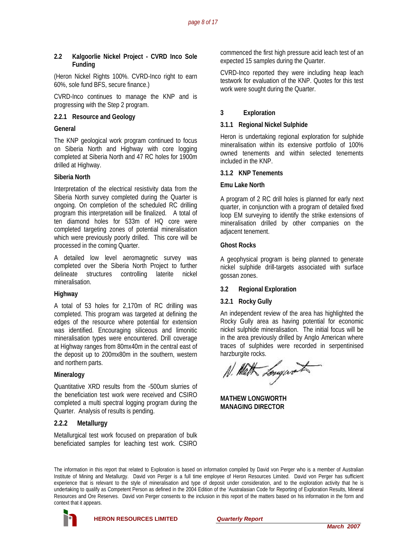#### **2.2 Kalgoorlie Nickel Project - CVRD Inco Sole Funding**

(Heron Nickel Rights 100%. CVRD-Inco right to earn 60%, sole fund BFS, secure finance.)

CVRD-Inco continues to manage the KNP and is progressing with the Step 2 program.

#### **2.2.1 Resource and Geology**

#### **General**

The KNP geological work program continued to focus on Siberia North and Highway with core logging completed at Siberia North and 47 RC holes for 1900m drilled at Highway.

#### **Siberia North**

Interpretation of the electrical resistivity data from the Siberia North survey completed during the Quarter is ongoing. On completion of the scheduled RC drilling program this interpretation will be finalized. A total of ten diamond holes for 533m of HQ core were completed targeting zones of potential mineralisation which were previously poorly drilled. This core will be processed in the coming Quarter.

A detailed low level aeromagnetic survey was completed over the Siberia North Project to further delineate structures controlling laterite nickel mineralisation.

#### **Highway**

A total of 53 holes for 2,170m of RC drilling was completed. This program was targeted at defining the edges of the resource where potential for extension was identified. Encouraging siliceous and limonitic mineralisation types were encountered. Drill coverage at Highway ranges from 80mx40m in the central east of the deposit up to 200mx80m in the southern, western and northern parts.

#### **Mineralogy**

Quantitative XRD results from the -500um slurries of the beneficiation test work were received and CSIRO completed a multi spectral logging program during the Quarter. Analysis of results is pending.

#### **2.2.2 Metallurgy**

Metallurgical test work focused on preparation of bulk beneficiated samples for leaching test work. CSIRO commenced the first high pressure acid leach test of an expected 15 samples during the Quarter.

CVRD-Inco reported they were including heap leach testwork for evaluation of the KNP. Quotes for this test work were sought during the Quarter.

#### **3 Exploration**

#### **3.1.1 Regional Nickel Sulphide**

Heron is undertaking regional exploration for sulphide mineralisation within its extensive portfolio of 100% owned tenements and within selected tenements included in the KNP.

#### **3.1.2 KNP Tenements**

#### **Emu Lake North**

A program of 2 RC drill holes is planned for early next quarter, in conjunction with a program of detailed fixed loop EM surveying to identify the strike extensions of mineralisation drilled by other companies on the adjacent tenement.

#### **Ghost Rocks**

A geophysical program is being planned to generate nickel sulphide drill-targets associated with surface gossan zones.

#### **3.2 Regional Exploration**

#### **3.2.1 Rocky Gully**

An independent review of the area has highlighted the Rocky Gully area as having potential for economic nickel sulphide mineralisation. The initial focus will be in the area previously drilled by Anglo American where traces of sulphides were recorded in serpentinised harzburgite rocks.

Math Longwork

**MATHEW LONGWORTH MANAGING DIRECTOR** 

The information in this report that related to Exploration is based on information compiled by David von Perger who is a member of Australian Institute of Mining and Metallurgy. David von Perger is a full time employee of Heron Resources Limited. David von Perger has sufficient experience that is relevant to the style of mineralisation and type of deposit under consideration, and to the exploration activity that he is undertaking to qualify as Competent Person as defined in the 2004 Edition of the 'Australasian Code for Reporting of Exploration Results, Mineral Resources and Ore Reserves. David von Perger consents to the inclusion in this report of the matters based on his information in the form and context that it appears.

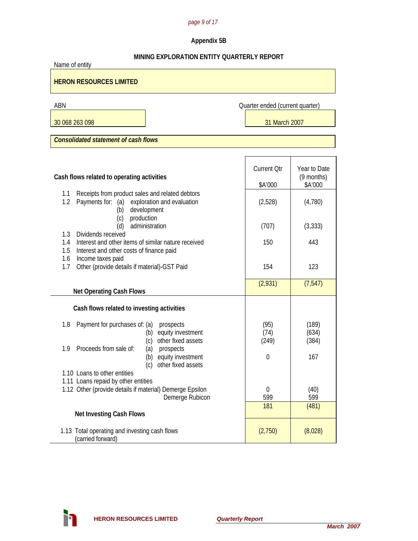# *page 9 of 17*

# **Appendix 5B**

# **MINING EXPLORATION ENTITY QUARTERLY REPORT**

| Name of entity                                                                                                                             |                                 |                            |
|--------------------------------------------------------------------------------------------------------------------------------------------|---------------------------------|----------------------------|
| <b>HERON RESOURCES LIMITED</b>                                                                                                             |                                 |                            |
| ABN                                                                                                                                        | Quarter ended (current quarter) |                            |
| 30 068 263 098                                                                                                                             | 31 March 2007                   |                            |
| <b>Consolidated statement of cash flows</b>                                                                                                |                                 |                            |
|                                                                                                                                            |                                 |                            |
| Cash flows related to operating activities                                                                                                 | <b>Current Qtr</b>              | Year to Date<br>(9 months) |
|                                                                                                                                            | \$A'000                         | \$A'000                    |
| Receipts from product sales and related debtors<br>1.1<br>1.2<br>Payments for: (a) exploration and evaluation<br>development<br>(b)        | (2,528)                         | (4,780)                    |
| production<br>(c)<br>administration<br>(d)                                                                                                 | (707)                           | (3, 333)                   |
| Dividends received<br>1.3<br>Interest and other items of similar nature received<br>1.4<br>1.5<br>Interest and other costs of finance paid | 150                             | 443                        |
| 1.6<br>Income taxes paid<br>Other (provide details if material)-GST Paid<br>1.7                                                            | 154                             | 123                        |
| <b>Net Operating Cash Flows</b>                                                                                                            | (2,931)                         | (7, 547)                   |
| Cash flows related to investing activities                                                                                                 |                                 |                            |
| 1.8<br>Payment for purchases of: (a)<br>prospects<br>equity investment<br>(b)<br>other fixed assets<br>(c)                                 | (95)<br>(74)<br>(249)           | (189)<br>(634)<br>(384)    |
| Proceeds from sale of:<br>1.9<br>(a)<br>prospects<br>equity investment<br>(b)<br>(c) other fixed assets                                    | $\theta$                        | 167                        |
| 1.10 Loans to other entities                                                                                                               |                                 |                            |
| 1.11 Loans repaid by other entities<br>1.12 Other (provide details if material) Demerge Epsilon<br>Demerge Rubicon                         | 0<br>599                        | (40)<br>599                |
| <b>Net Investing Cash Flows</b>                                                                                                            | 181                             | (481)                      |
| 1.13 Total operating and investing cash flows<br>(carried forward)                                                                         | (2,750)                         | (8,028)                    |

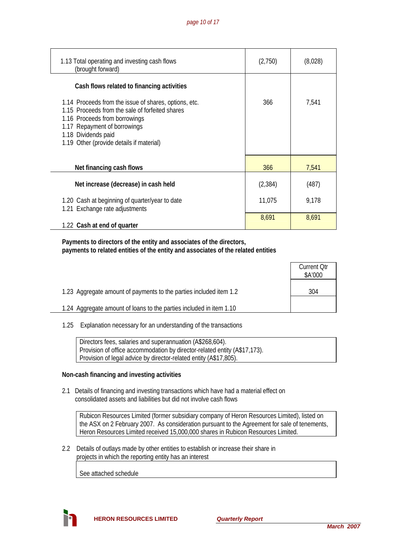| 1.13 Total operating and investing cash flows<br>(brought forward)                                                                                                                                                                           | (2,750)  | (8,028) |
|----------------------------------------------------------------------------------------------------------------------------------------------------------------------------------------------------------------------------------------------|----------|---------|
| Cash flows related to financing activities                                                                                                                                                                                                   |          |         |
| 1.14 Proceeds from the issue of shares, options, etc.<br>1.15 Proceeds from the sale of forfeited shares<br>1.16 Proceeds from borrowings<br>1.17 Repayment of borrowings<br>1.18 Dividends paid<br>1.19 Other (provide details if material) | 366      | 7,541   |
| Net financing cash flows                                                                                                                                                                                                                     | 366      | 7,541   |
| Net increase (decrease) in cash held                                                                                                                                                                                                         | (2, 384) | (487)   |
| 1.20 Cash at beginning of quarter/year to date<br>1.21 Exchange rate adjustments                                                                                                                                                             | 11,075   | 9,178   |
| 1.22 Cash at end of quarter                                                                                                                                                                                                                  | 8,691    | 8,691   |

 **Payments to directors of the entity and associates of the directors, payments to related entities of the entity and associates of the related entities** 

|                                                                     | <b>Current Qtr</b><br>\$A'000 |
|---------------------------------------------------------------------|-------------------------------|
| 1.23 Aggregate amount of payments to the parties included item 1.2  | 304                           |
| 1.24 Aggregate amount of loans to the parties included in item 1.10 |                               |

1.25 Explanation necessary for an understanding of the transactions

 Directors fees, salaries and superannuation (A\$268,604). Provision of office accommodation by director-related entity (A\$17,173). Provision of legal advice by director-related entity (A\$17,805).

# **Non-cash financing and investing activities**

 2.1 Details of financing and investing transactions which have had a material effect on consolidated assets and liabilities but did not involve cash flows

 Rubicon Resources Limited (former subsidiary company of Heron Resources Limited), listed on the ASX on 2 February 2007. As consideration pursuant to the Agreement for sale of tenements, Heron Resources Limited received 15,000,000 shares in Rubicon Resources Limited.

 2.2 Details of outlays made by other entities to establish or increase their share in projects in which the reporting entity has an interest

See attached schedule

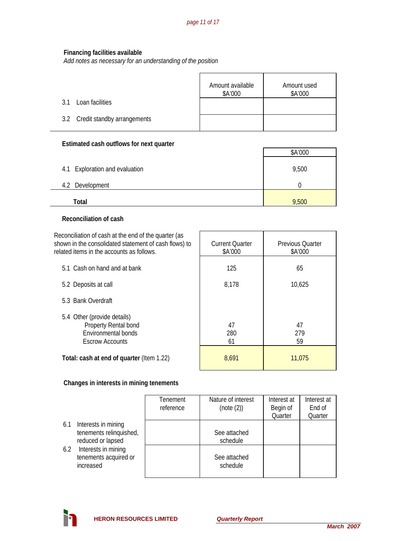### **Financing facilities available**

*Add notes as necessary for an understanding of the position*

|                                 | Amount available<br>\$A'000 | Amount used<br>\$A'000 |
|---------------------------------|-----------------------------|------------------------|
| Loan facilities<br>31           |                             |                        |
| 3.2 Credit standby arrangements |                             |                        |

#### **Estimated cash outflows for next quarter**

|                                | \$A'000 |
|--------------------------------|---------|
| 4.1 Exploration and evaluation | 9,500   |
| 4.2 Development                |         |
| Total                          | 9,500   |

#### **Reconciliation of cash**

Reconciliation of cash at the end of the quarter (as shown in the consolidated statement of cash flows) to

| shown in the consolidated statement of cash flows) to<br>related items in the accounts as follows.   | <b>Current Ouarter</b><br>\$A'000 | <b>Previous Ouarter</b><br>\$A'000 |
|------------------------------------------------------------------------------------------------------|-----------------------------------|------------------------------------|
| 5.1 Cash on hand and at bank                                                                         | 125                               | 65                                 |
| 5.2 Deposits at call                                                                                 | 8,178                             | 10,625                             |
| 5.3 Bank Overdraft                                                                                   |                                   |                                    |
| 5.4 Other (provide details)<br>Property Rental bond<br>Environmental bonds<br><b>Escrow Accounts</b> | 47<br>280<br>61                   | 47<br>279<br>59                    |
| Total: cash at end of quarter (Item 1.22)                                                            | 8,691                             | 11,075                             |

#### **Changes in interests in mining tenements**

|                                                                            | Tenement<br>reference | Nature of interest<br>(note (2)) | Interest at<br>Begin of<br>Quarter | Interest at<br>End of<br>Quarter |
|----------------------------------------------------------------------------|-----------------------|----------------------------------|------------------------------------|----------------------------------|
| Interests in mining<br>6.1<br>tenements relinquished,<br>reduced or lapsed |                       | See attached<br>schedule         |                                    |                                  |
| Interests in mining<br>6.2<br>tenements acquired or<br>increased           |                       | See attached<br>schedule         |                                    |                                  |

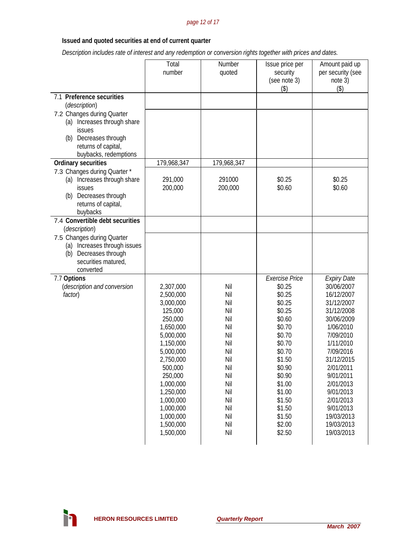#### *page 12 of 17*

#### **Issued and quoted securities at end of current quarter**

 *Description includes rate of interest and any redemption or conversion rights together with prices and dates.* 

|                                                                                                                                                                                                                         | Total<br>number                                                                                                                                                                                                                             | Number<br>quoted                                                                                                                  | Issue price per<br>security<br>(see note 3)<br>$($ \$)                                                                                                                                                              | Amount paid up<br>per security (see<br>note 3)<br>$($ \$)                                                                                                                                                                                                                          |
|-------------------------------------------------------------------------------------------------------------------------------------------------------------------------------------------------------------------------|---------------------------------------------------------------------------------------------------------------------------------------------------------------------------------------------------------------------------------------------|-----------------------------------------------------------------------------------------------------------------------------------|---------------------------------------------------------------------------------------------------------------------------------------------------------------------------------------------------------------------|------------------------------------------------------------------------------------------------------------------------------------------------------------------------------------------------------------------------------------------------------------------------------------|
| 7.1 Preference securities<br>(description)<br>7.2 Changes during Quarter<br>Increases through share<br>(a)<br>issues<br>Decreases through<br>(b)<br>returns of capital,<br>buybacks, redemptions<br>Ordinary securities | 179,968,347                                                                                                                                                                                                                                 | 179,968,347                                                                                                                       |                                                                                                                                                                                                                     |                                                                                                                                                                                                                                                                                    |
| 7.3 Changes during Quarter *<br>(a) Increases through share<br>issues<br>Decreases through<br>(b)<br>returns of capital,<br>buybacks                                                                                    | 291,000<br>200,000                                                                                                                                                                                                                          | 291000<br>200,000                                                                                                                 | \$0.25<br>\$0.60                                                                                                                                                                                                    | \$0.25<br>\$0.60                                                                                                                                                                                                                                                                   |
| 7.4 Convertible debt securities<br>(description)<br>7.5 Changes during Quarter<br>(a) Increases through issues<br>Decreases through<br>(b)<br>securities matured,<br>converted                                          |                                                                                                                                                                                                                                             |                                                                                                                                   |                                                                                                                                                                                                                     |                                                                                                                                                                                                                                                                                    |
| 7.7 Options<br>(description and conversion<br>factor)                                                                                                                                                                   | 2,307,000<br>2,500,000<br>3,000,000<br>125,000<br>250,000<br>1,650,000<br>5,000,000<br>1,150,000<br>5,000,000<br>2,750,000<br>500,000<br>250,000<br>1,000,000<br>1,250,000<br>1,000,000<br>1,000,000<br>1,000,000<br>1,500,000<br>1,500,000 | Nil<br>Nil<br>Nil<br>Nil<br>Nil<br>Nil<br>Nil<br>Nil<br>Nil<br>Nil<br>Nil<br>Nil<br>Nil<br>Nil<br>Nil<br>Nil<br>Nil<br>Nil<br>Nil | <b>Exercise Price</b><br>\$0.25<br>\$0.25<br>\$0.25<br>\$0.25<br>\$0.60<br>\$0.70<br>\$0.70<br>\$0.70<br>\$0.70<br>\$1.50<br>\$0.90<br>\$0.90<br>\$1.00<br>\$1.00<br>\$1.50<br>\$1.50<br>\$1.50<br>\$2.00<br>\$2.50 | <b>Expiry Date</b><br>30/06/2007<br>16/12/2007<br>31/12/2007<br>31/12/2008<br>30/06/2009<br>1/06/2010<br>7/09/2010<br>1/11/2010<br>7/09/2016<br>31/12/2015<br>2/01/2011<br>9/01/2011<br>2/01/2013<br>9/01/2013<br>2/01/2013<br>9/01/2013<br>19/03/2013<br>19/03/2013<br>19/03/2013 |

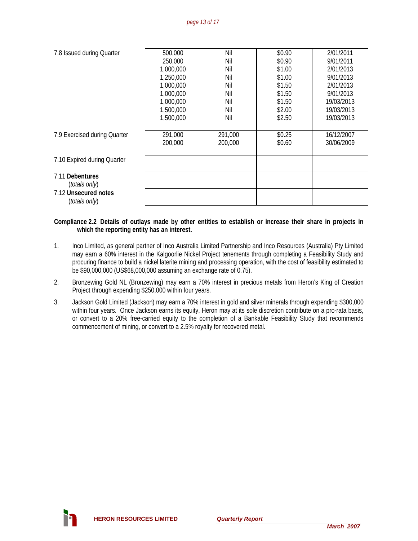| 7.8 Issued during Quarter    | 500,000   | Nil     | \$0.90 | 2/01/2011  |
|------------------------------|-----------|---------|--------|------------|
|                              | 250,000   | Nil     | \$0.90 | 9/01/2011  |
|                              | 1,000,000 | Nil     | \$1.00 | 2/01/2013  |
|                              | 1,250,000 | Nil     | \$1.00 | 9/01/2013  |
|                              | 1,000,000 | Nil     | \$1.50 | 2/01/2013  |
|                              | 1,000,000 | Nil     | \$1.50 | 9/01/2013  |
|                              | 1,000,000 | Nil     | \$1.50 | 19/03/2013 |
|                              | 1,500,000 | Nil     | \$2.00 | 19/03/2013 |
|                              | 1,500,000 | Nil     | \$2.50 | 19/03/2013 |
|                              |           |         |        |            |
| 7.9 Exercised during Quarter | 291,000   | 291,000 | \$0.25 | 16/12/2007 |
|                              | 200,000   | 200,000 | \$0.60 | 30/06/2009 |
|                              |           |         |        |            |
| 7.10 Expired during Quarter  |           |         |        |            |
|                              |           |         |        |            |
| 7.11 Debentures              |           |         |        |            |
| <i>(totals only)</i>         |           |         |        |            |
| 7.12 Unsecured notes         |           |         |        |            |
| <i>(totals only)</i>         |           |         |        |            |

**Compliance 2.2 Details of outlays made by other entities to establish or increase their share in projects in which the reporting entity has an interest.** 

- 1. Inco Limited, as general partner of Inco Australia Limited Partnership and Inco Resources (Australia) Pty Limited may earn a 60% interest in the Kalgoorlie Nickel Project tenements through completing a Feasibility Study and procuring finance to build a nickel laterite mining and processing operation, with the cost of feasibility estimated to be \$90,000,000 (US\$68,000,000 assuming an exchange rate of 0.75).
- 2. Bronzewing Gold NL (Bronzewing) may earn a 70% interest in precious metals from Heron's King of Creation Project through expending \$250,000 within four years.
- 3. Jackson Gold Limited (Jackson) may earn a 70% interest in gold and silver minerals through expending \$300,000 within four years. Once Jackson earns its equity, Heron may at its sole discretion contribute on a pro-rata basis, or convert to a 20% free-carried equity to the completion of a Bankable Feasibility Study that recommends commencement of mining, or convert to a 2.5% royalty for recovered metal.

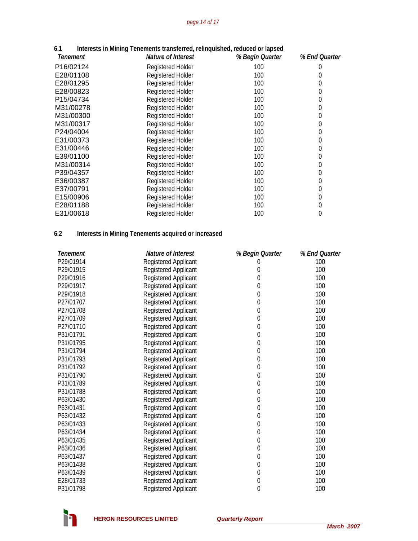# *page 14 of 17*

| 6.1       | Interests in Mining Tenements transferred, relinguished, reduced or lapsed |                 |               |
|-----------|----------------------------------------------------------------------------|-----------------|---------------|
| Tenement  | Nature of Interest                                                         | % Begin Quarter | % End Quarter |
| P16/02124 | Registered Holder                                                          | 100             | O             |
| E28/01108 | Registered Holder                                                          | 100             | 0             |
| E28/01295 | Registered Holder                                                          | 100             | 0             |
| E28/00823 | Registered Holder                                                          | 100             | 0             |
| P15/04734 | Registered Holder                                                          | 100             | 0             |
| M31/00278 | Registered Holder                                                          | 100             | 0             |
| M31/00300 | <b>Registered Holder</b>                                                   | 100             | 0             |
| M31/00317 | Registered Holder                                                          | 100             | 0             |
| P24/04004 | <b>Registered Holder</b>                                                   | 100             | 0             |
| E31/00373 | Registered Holder                                                          | 100             | 0             |
| E31/00446 | Registered Holder                                                          | 100             | 0             |
| E39/01100 | Registered Holder                                                          | 100             | 0             |
| M31/00314 | Registered Holder                                                          | 100             | 0             |
| P39/04357 | Registered Holder                                                          | 100             | 0             |
| E36/00387 | Registered Holder                                                          | 100             | 0             |
| E37/00791 | Registered Holder                                                          | 100             | 0             |
| E15/00906 | Registered Holder                                                          | 100             | 0             |
| E28/01188 | Registered Holder                                                          | 100             | 0             |
| E31/00618 | <b>Registered Holder</b>                                                   | 100             | 0             |

# **6.2 Interests in Mining Tenements acquired or increased**

| Tenement  | Nature of Interest          | % Begin Quarter  | % End Quarter |
|-----------|-----------------------------|------------------|---------------|
| P29/01914 | Registered Applicant        | 0                | 100           |
| P29/01915 | Registered Applicant        | 0                | 100           |
| P29/01916 | Registered Applicant        | 0                | 100           |
| P29/01917 | Registered Applicant        | 0                | 100           |
| P29/01918 | <b>Registered Applicant</b> | $\boldsymbol{0}$ | 100           |
| P27/01707 | Registered Applicant        | $\boldsymbol{0}$ | 100           |
| P27/01708 | Registered Applicant        | 0                | 100           |
| P27/01709 | Registered Applicant        | $\boldsymbol{0}$ | 100           |
| P27/01710 | Registered Applicant        | 0                | 100           |
| P31/01791 | Registered Applicant        | $\mathbf 0$      | 100           |
| P31/01795 | Registered Applicant        | 0                | 100           |
| P31/01794 | Registered Applicant        | $\mathbf{0}$     | 100           |
| P31/01793 | Registered Applicant        | 0                | 100           |
| P31/01792 | Registered Applicant        | $\mathbf 0$      | 100           |
| P31/01790 | <b>Registered Applicant</b> | 0                | 100           |
| P31/01789 | Registered Applicant        | $\boldsymbol{0}$ | 100           |
| P31/01788 | <b>Registered Applicant</b> | $\mathbf{0}$     | 100           |
| P63/01430 | Registered Applicant        | $\mathbf{0}$     | 100           |
| P63/01431 | <b>Registered Applicant</b> | 0                | 100           |
| P63/01432 | <b>Registered Applicant</b> | 0                | 100           |
| P63/01433 | <b>Registered Applicant</b> | $\boldsymbol{0}$ | 100           |
| P63/01434 | <b>Registered Applicant</b> | $\boldsymbol{0}$ | 100           |
| P63/01435 | Registered Applicant        | $\mathbf 0$      | 100           |
| P63/01436 | Registered Applicant        | 0                | 100           |
| P63/01437 | <b>Registered Applicant</b> | $\mathbf{0}$     | 100           |
| P63/01438 | <b>Registered Applicant</b> | $\mathbf 0$      | 100           |
| P63/01439 | <b>Registered Applicant</b> | $\mathbf 0$      | 100           |
| E28/01733 | Registered Applicant        | 0                | 100           |
| P31/01798 | <b>Registered Applicant</b> | 0                | 100           |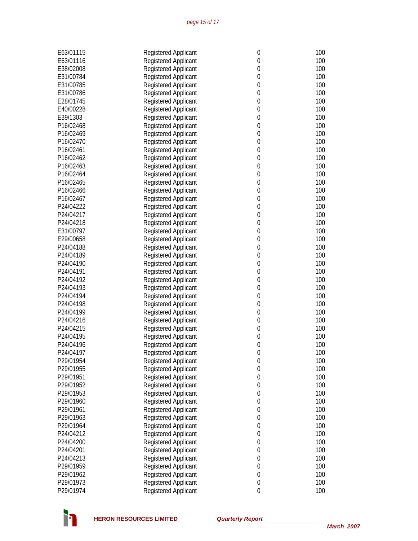# *page 15 of 17*

| E63/01115 | <b>Registered Applicant</b> | $\boldsymbol{0}$ | 100 |
|-----------|-----------------------------|------------------|-----|
| E63/01116 | Registered Applicant        | $\boldsymbol{0}$ | 100 |
| E38/02008 | <b>Registered Applicant</b> | $\boldsymbol{0}$ | 100 |
| E31/00784 | <b>Registered Applicant</b> | $\boldsymbol{0}$ | 100 |
| E31/00785 | <b>Registered Applicant</b> | $\boldsymbol{0}$ | 100 |
| E31/00786 | <b>Registered Applicant</b> | $\boldsymbol{0}$ | 100 |
| E28/01745 | Registered Applicant        | $\boldsymbol{0}$ | 100 |
| E40/00228 | Registered Applicant        | $\boldsymbol{0}$ | 100 |
| E39/1303  | Registered Applicant        | $\boldsymbol{0}$ | 100 |
| P16/02468 | Registered Applicant        | $\boldsymbol{0}$ | 100 |
| P16/02469 | Registered Applicant        | $\boldsymbol{0}$ | 100 |
| P16/02470 | Registered Applicant        | $\boldsymbol{0}$ | 100 |
| P16/02461 | Registered Applicant        | $\boldsymbol{0}$ | 100 |
| P16/02462 | Registered Applicant        | $\boldsymbol{0}$ | 100 |
| P16/02463 | Registered Applicant        | $\boldsymbol{0}$ | 100 |
| P16/02464 | Registered Applicant        | $\boldsymbol{0}$ | 100 |
| P16/02465 | <b>Registered Applicant</b> | $\boldsymbol{0}$ | 100 |
| P16/02466 | Registered Applicant        | $\boldsymbol{0}$ | 100 |
| P16/02467 | <b>Registered Applicant</b> | $\boldsymbol{0}$ | 100 |
| P24/04222 | <b>Registered Applicant</b> | $\boldsymbol{0}$ | 100 |
| P24/04217 | <b>Registered Applicant</b> | $\boldsymbol{0}$ | 100 |
| P24/04218 | <b>Registered Applicant</b> | $\boldsymbol{0}$ | 100 |
| E31/00797 | <b>Registered Applicant</b> | $\boldsymbol{0}$ | 100 |
| E29/00658 | <b>Registered Applicant</b> | $\boldsymbol{0}$ | 100 |
|           |                             | $\boldsymbol{0}$ | 100 |
| P24/04188 | <b>Registered Applicant</b> |                  |     |
| P24/04189 | <b>Registered Applicant</b> | $\boldsymbol{0}$ | 100 |
| P24/04190 | <b>Registered Applicant</b> | $\boldsymbol{0}$ | 100 |
| P24/04191 | <b>Registered Applicant</b> | $\boldsymbol{0}$ | 100 |
| P24/04192 | <b>Registered Applicant</b> | $\boldsymbol{0}$ | 100 |
| P24/04193 | <b>Registered Applicant</b> | $\boldsymbol{0}$ | 100 |
| P24/04194 | <b>Registered Applicant</b> | $\boldsymbol{0}$ | 100 |
| P24/04198 | <b>Registered Applicant</b> | $\boldsymbol{0}$ | 100 |
| P24/04199 | <b>Registered Applicant</b> | $\boldsymbol{0}$ | 100 |
| P24/04216 | <b>Registered Applicant</b> | $\boldsymbol{0}$ | 100 |
| P24/04215 | <b>Registered Applicant</b> | $\boldsymbol{0}$ | 100 |
| P24/04195 | <b>Registered Applicant</b> | $\boldsymbol{0}$ | 100 |
| P24/04196 | <b>Registered Applicant</b> | $\boldsymbol{0}$ | 100 |
| P24/04197 | Registered Applicant        | 0                | 100 |
| P29/01954 | <b>Registered Applicant</b> | $\boldsymbol{0}$ | 100 |
| P29/01955 | <b>Registered Applicant</b> | $\boldsymbol{0}$ | 100 |
| P29/01951 | <b>Registered Applicant</b> | $\boldsymbol{0}$ | 100 |
| P29/01952 | <b>Registered Applicant</b> | $\boldsymbol{0}$ | 100 |
| P29/01953 | <b>Registered Applicant</b> | $\boldsymbol{0}$ | 100 |
| P29/01960 | Registered Applicant        | $\boldsymbol{0}$ | 100 |
| P29/01961 | <b>Registered Applicant</b> | $\boldsymbol{0}$ | 100 |
| P29/01963 | <b>Registered Applicant</b> | $\boldsymbol{0}$ | 100 |
| P29/01964 | <b>Registered Applicant</b> | $\boldsymbol{0}$ | 100 |
| P24/04212 | <b>Registered Applicant</b> | $\boldsymbol{0}$ | 100 |
| P24/04200 | <b>Registered Applicant</b> | $\boldsymbol{0}$ | 100 |
| P24/04201 | <b>Registered Applicant</b> | $\boldsymbol{0}$ | 100 |
| P24/04213 | <b>Registered Applicant</b> | $\boldsymbol{0}$ | 100 |
| P29/01959 | <b>Registered Applicant</b> | $\boldsymbol{0}$ | 100 |
| P29/01962 | <b>Registered Applicant</b> | $\boldsymbol{0}$ | 100 |
| P29/01973 | Registered Applicant        | $\boldsymbol{0}$ | 100 |
| P29/01974 | Registered Applicant        | $\boldsymbol{0}$ | 100 |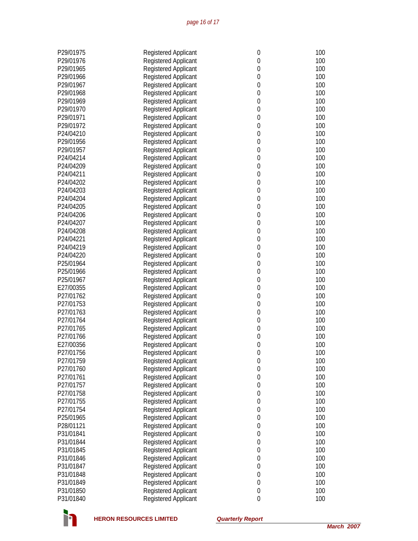# *page 16 of 17*

| P29/01975 | <b>Registered Applicant</b> | $\boldsymbol{0}$                     | 100 |
|-----------|-----------------------------|--------------------------------------|-----|
| P29/01976 | Registered Applicant        | $\boldsymbol{0}$                     | 100 |
| P29/01965 | Registered Applicant        | $\boldsymbol{0}$                     | 100 |
| P29/01966 | Registered Applicant        | $\boldsymbol{0}$                     | 100 |
| P29/01967 | Registered Applicant        | $\boldsymbol{0}$                     | 100 |
| P29/01968 | Registered Applicant        | $\boldsymbol{0}$                     | 100 |
| P29/01969 | Registered Applicant        | $\boldsymbol{0}$                     | 100 |
| P29/01970 | Registered Applicant        | $\boldsymbol{0}$                     | 100 |
| P29/01971 | Registered Applicant        | $\boldsymbol{0}$                     | 100 |
| P29/01972 | Registered Applicant        | $\boldsymbol{0}$                     | 100 |
| P24/04210 | Registered Applicant        | $\boldsymbol{0}$                     | 100 |
| P29/01956 | Registered Applicant        | $\boldsymbol{0}$                     | 100 |
| P29/01957 | Registered Applicant        | $\boldsymbol{0}$                     | 100 |
| P24/04214 | Registered Applicant        | $\boldsymbol{0}$                     | 100 |
| P24/04209 | Registered Applicant        | $\boldsymbol{0}$                     | 100 |
| P24/04211 | <b>Registered Applicant</b> | $\boldsymbol{0}$                     | 100 |
| P24/04202 | Registered Applicant        | $\boldsymbol{0}$                     | 100 |
| P24/04203 | Registered Applicant        | $\boldsymbol{0}$                     | 100 |
| P24/04204 | Registered Applicant        | $\boldsymbol{0}$                     | 100 |
| P24/04205 | <b>Registered Applicant</b> | $\boldsymbol{0}$                     | 100 |
| P24/04206 | Registered Applicant        | $\boldsymbol{0}$                     | 100 |
| P24/04207 | Registered Applicant        | $\boldsymbol{0}$                     | 100 |
| P24/04208 | Registered Applicant        | $\boldsymbol{0}$                     | 100 |
| P24/04221 | Registered Applicant        | $\boldsymbol{0}$                     | 100 |
| P24/04219 | <b>Registered Applicant</b> | $\boldsymbol{0}$                     | 100 |
| P24/04220 | <b>Registered Applicant</b> | $\boldsymbol{0}$                     | 100 |
| P25/01964 | Registered Applicant        | $\boldsymbol{0}$                     | 100 |
| P25/01966 | <b>Registered Applicant</b> | $\boldsymbol{0}$                     | 100 |
| P25/01967 | <b>Registered Applicant</b> | $\boldsymbol{0}$                     | 100 |
| E27/00355 | Registered Applicant        | $\boldsymbol{0}$                     | 100 |
| P27/01762 | <b>Registered Applicant</b> | $\boldsymbol{0}$                     | 100 |
| P27/01753 | <b>Registered Applicant</b> | $\boldsymbol{0}$                     | 100 |
| P27/01763 | Registered Applicant        | $\boldsymbol{0}$                     | 100 |
| P27/01764 | <b>Registered Applicant</b> | $\boldsymbol{0}$                     | 100 |
| P27/01765 | <b>Registered Applicant</b> | $\boldsymbol{0}$                     | 100 |
| P27/01766 | <b>Registered Applicant</b> | $\boldsymbol{0}$                     | 100 |
| E27/00356 | <b>Registered Applicant</b> | $\boldsymbol{0}$                     | 100 |
| P27/01756 | <b>Registered Applicant</b> | $\overline{0}$                       | 100 |
| P27/01759 | Registered Applicant        | $\boldsymbol{0}$                     | 100 |
| P27/01760 | <b>Registered Applicant</b> | $\boldsymbol{0}$                     | 100 |
| P27/01761 | <b>Registered Applicant</b> | $\boldsymbol{0}$                     | 100 |
| P27/01757 | <b>Registered Applicant</b> | $\boldsymbol{0}$                     | 100 |
| P27/01758 | Registered Applicant        | $\boldsymbol{0}$                     | 100 |
| P27/01755 | <b>Registered Applicant</b> | $\boldsymbol{0}$                     | 100 |
| P27/01754 | <b>Registered Applicant</b> | $\boldsymbol{0}$                     | 100 |
| P25/01965 | <b>Registered Applicant</b> | $\boldsymbol{0}$                     | 100 |
| P28/01121 | <b>Registered Applicant</b> | $\boldsymbol{0}$                     | 100 |
| P31/01841 | <b>Registered Applicant</b> | $\boldsymbol{0}$                     | 100 |
| P31/01844 | Registered Applicant        | $\boldsymbol{0}$                     | 100 |
| P31/01845 | <b>Registered Applicant</b> | $\boldsymbol{0}$                     | 100 |
| P31/01846 | Registered Applicant        | $\boldsymbol{0}$                     | 100 |
| P31/01847 |                             |                                      | 100 |
| P31/01848 | Registered Applicant        | $\boldsymbol{0}$<br>$\boldsymbol{0}$ | 100 |
|           | Registered Applicant        |                                      |     |
| P31/01849 | Registered Applicant        | 0                                    | 100 |
| P31/01850 | Registered Applicant        | $\boldsymbol{0}$                     | 100 |
| P31/01840 | Registered Applicant        | 0                                    | 100 |